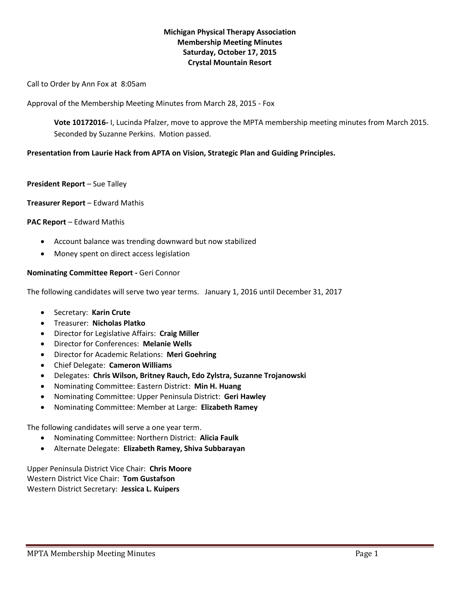# **Michigan Physical Therapy Association Membership Meeting Minutes Saturday, October 17, 2015 Crystal Mountain Resort**

Call to Order by Ann Fox at 8:05am

Approval of the Membership Meeting Minutes from March 28, 2015 - Fox

**Vote 10172016-** I, Lucinda Pfalzer, move to approve the MPTA membership meeting minutes from March 2015. Seconded by Suzanne Perkins. Motion passed.

# **Presentation from Laurie Hack from APTA on Vision, Strategic Plan and Guiding Principles.**

### **President Report – Sue Talley**

## **Treasurer Report** – Edward Mathis

## **PAC Report** – Edward Mathis

- Account balance was trending downward but now stabilized
- Money spent on direct access legislation

## **Nominating Committee Report -** Geri Connor

The following candidates will serve two year terms. January 1, 2016 until December 31, 2017

- Secretary: **Karin Crute**
- Treasurer: **Nicholas Platko**
- Director for Legislative Affairs: **Craig Miller**
- Director for Conferences: **Melanie Wells**
- Director for Academic Relations: **Meri Goehring**
- Chief Delegate: **Cameron Williams**
- Delegates: **Chris Wilson, Britney Rauch, Edo Zylstra, Suzanne Trojanowski**
- Nominating Committee: Eastern District: **Min H. Huang**
- Nominating Committee: Upper Peninsula District: **Geri Hawley**
- Nominating Committee: Member at Large: **Elizabeth Ramey**

The following candidates will serve a one year term.

- Nominating Committee: Northern District: **Alicia Faulk**
- Alternate Delegate: **Elizabeth Ramey, Shiva Subbarayan**

Upper Peninsula District Vice Chair: **Chris Moore** Western District Vice Chair: **Tom Gustafson** Western District Secretary: **Jessica L. Kuipers**